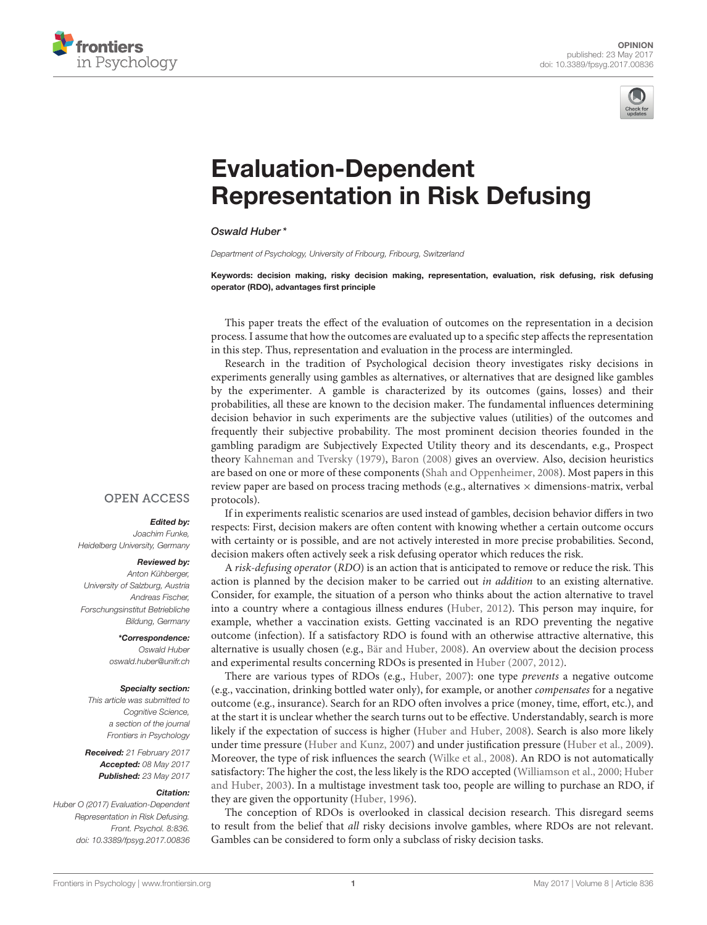



# Evaluation-Dependent [Representation in Risk Defusing](http://journal.frontiersin.org/article/10.3389/fpsyg.2017.00836/full)

[Oswald Huber\\*](http://loop.frontiersin.org/people/416096/overview)

Department of Psychology, University of Fribourg, Fribourg, Switzerland

Keywords: decision making, risky decision making, representation, evaluation, risk defusing, risk defusing operator (RDO), advantages first principle

This paper treats the effect of the evaluation of outcomes on the representation in a decision process. I assume that how the outcomes are evaluated up to a specific step affects the representation in this step. Thus, representation and evaluation in the process are intermingled.

Research in the tradition of Psychological decision theory investigates risky decisions in experiments generally using gambles as alternatives, or alternatives that are designed like gambles by the experimenter. A gamble is characterized by its outcomes (gains, losses) and their probabilities, all these are known to the decision maker. The fundamental influences determining decision behavior in such experiments are the subjective values (utilities) of the outcomes and frequently their subjective probability. The most prominent decision theories founded in the gambling paradigm are Subjectively Expected Utility theory and its descendants, e.g., Prospect theory [Kahneman and Tversky \(1979\)](#page-2-0), [Baron \(2008\)](#page-2-1) gives an overview. Also, decision heuristics are based on one or more of these components [\(Shah and Oppenheimer, 2008\)](#page-2-2). Most papers in this review paper are based on process tracing methods (e.g., alternatives  $\times$  dimensions-matrix, verbal protocols).

### **OPEN ACCESS**

#### Edited by:

Joachim Funke, Heidelberg University, Germany

#### Reviewed by:

Anton Kühberger, University of Salzburg, Austria Andreas Fischer, Forschungsinstitut Betriebliche Bildung, Germany

> \*Correspondence: Oswald Huber [oswald.huber@unifr.ch](mailto:oswald.huber@unifr.ch)

#### Specialty section:

This article was submitted to Cognitive Science, a section of the journal Frontiers in Psychology

Received: 21 February 2017 Accepted: 08 May 2017 Published: 23 May 2017

#### Citation:

Huber O (2017) Evaluation-Dependent Representation in Risk Defusing. Front. Psychol. 8:836. doi: [10.3389/fpsyg.2017.00836](https://doi.org/10.3389/fpsyg.2017.00836)

If in experiments realistic scenarios are used instead of gambles, decision behavior differs in two respects: First, decision makers are often content with knowing whether a certain outcome occurs with certainty or is possible, and are not actively interested in more precise probabilities. Second, decision makers often actively seek a risk defusing operator which reduces the risk.

A risk-defusing operator (RDO) is an action that is anticipated to remove or reduce the risk. This action is planned by the decision maker to be carried out in addition to an existing alternative. Consider, for example, the situation of a person who thinks about the action alternative to travel into a country where a contagious illness endures [\(Huber, 2012\)](#page-2-3). This person may inquire, for example, whether a vaccination exists. Getting vaccinated is an RDO preventing the negative outcome (infection). If a satisfactory RDO is found with an otherwise attractive alternative, this alternative is usually chosen (e.g., [Bär and Huber, 2008\)](#page-2-4). An overview about the decision process and experimental results concerning RDOs is presented in [Huber \(2007,](#page-2-5) [2012\)](#page-2-3).

There are various types of RDOs (e.g., [Huber, 2007\)](#page-2-5): one type prevents a negative outcome (e.g., vaccination, drinking bottled water only), for example, or another compensates for a negative outcome (e.g., insurance). Search for an RDO often involves a price (money, time, effort, etc.), and at the start it is unclear whether the search turns out to be effective. Understandably, search is more likely if the expectation of success is higher [\(Huber and Huber, 2008\)](#page-2-6). Search is also more likely under time pressure [\(Huber and Kunz, 2007\)](#page-2-7) and under justification pressure [\(Huber et al., 2009\)](#page-2-8). Moreover, the type of risk influences the search [\(Wilke et al., 2008\)](#page-3-0). An RDO is not automatically satisfactory: The higher the cost, the less likely is the RDO accepted [\(Williamson et al., 2000;](#page-3-1) Huber and Huber, [2003\)](#page-2-9). In a multistage investment task too, people are willing to purchase an RDO, if they are given the opportunity [\(Huber, 1996\)](#page-2-10).

The conception of RDOs is overlooked in classical decision research. This disregard seems to result from the belief that all risky decisions involve gambles, where RDOs are not relevant. Gambles can be considered to form only a subclass of risky decision tasks.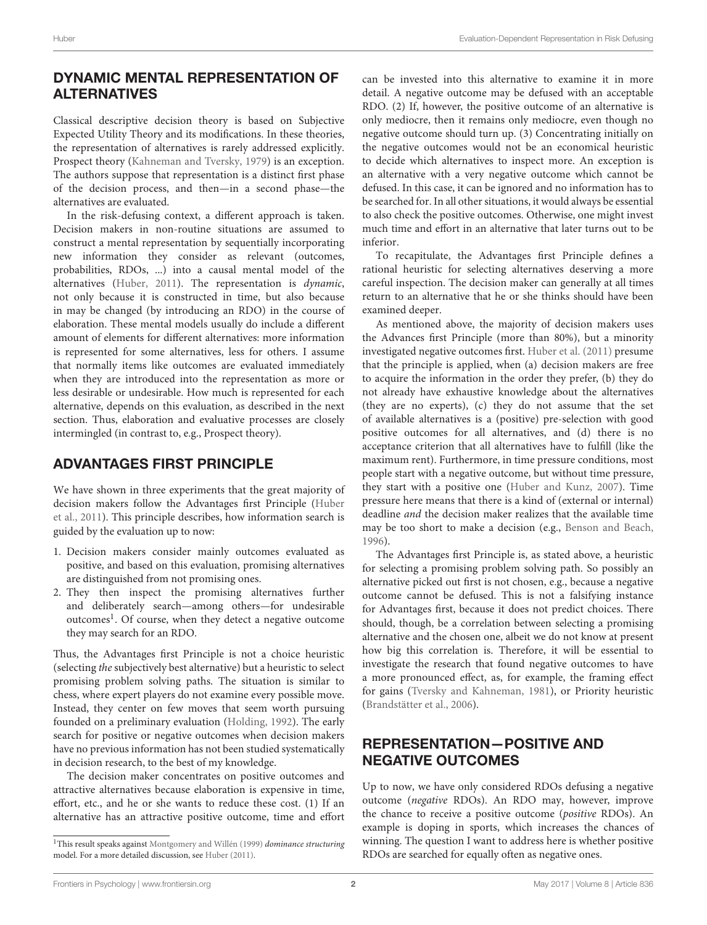## DYNAMIC MENTAL REPRESENTATION OF ALTERNATIVES

Classical descriptive decision theory is based on Subjective Expected Utility Theory and its modifications. In these theories, the representation of alternatives is rarely addressed explicitly. Prospect theory [\(Kahneman and Tversky, 1979\)](#page-2-0) is an exception. The authors suppose that representation is a distinct first phase of the decision process, and then—in a second phase—the alternatives are evaluated.

In the risk-defusing context, a different approach is taken. Decision makers in non-routine situations are assumed to construct a mental representation by sequentially incorporating new information they consider as relevant (outcomes, probabilities, RDOs, ...) into a causal mental model of the alternatives [\(Huber, 2011\)](#page-2-11). The representation is dynamic, not only because it is constructed in time, but also because in may be changed (by introducing an RDO) in the course of elaboration. These mental models usually do include a different amount of elements for different alternatives: more information is represented for some alternatives, less for others. I assume that normally items like outcomes are evaluated immediately when they are introduced into the representation as more or less desirable or undesirable. How much is represented for each alternative, depends on this evaluation, as described in the next section. Thus, elaboration and evaluative processes are closely intermingled (in contrast to, e.g., Prospect theory).

# ADVANTAGES FIRST PRINCIPLE

We have shown in three experiments that the great majority of decision makers follow the Advantages first Principle (Huber et al., [2011\)](#page-2-12). This principle describes, how information search is guided by the evaluation up to now:

- 1. Decision makers consider mainly outcomes evaluated as positive, and based on this evaluation, promising alternatives are distinguished from not promising ones.
- 2. They then inspect the promising alternatives further and deliberately search—among others—for undesirable outcomes<sup>[1](#page-1-0)</sup>. Of course, when they detect a negative outcome they may search for an RDO.

Thus, the Advantages first Principle is not a choice heuristic (selecting the subjectively best alternative) but a heuristic to select promising problem solving paths. The situation is similar to chess, where expert players do not examine every possible move. Instead, they center on few moves that seem worth pursuing founded on a preliminary evaluation [\(Holding, 1992\)](#page-2-13). The early search for positive or negative outcomes when decision makers have no previous information has not been studied systematically in decision research, to the best of my knowledge.

The decision maker concentrates on positive outcomes and attractive alternatives because elaboration is expensive in time, effort, etc., and he or she wants to reduce these cost. (1) If an alternative has an attractive positive outcome, time and effort can be invested into this alternative to examine it in more detail. A negative outcome may be defused with an acceptable RDO. (2) If, however, the positive outcome of an alternative is only mediocre, then it remains only mediocre, even though no negative outcome should turn up. (3) Concentrating initially on the negative outcomes would not be an economical heuristic to decide which alternatives to inspect more. An exception is an alternative with a very negative outcome which cannot be defused. In this case, it can be ignored and no information has to be searched for. In all other situations, it would always be essential to also check the positive outcomes. Otherwise, one might invest much time and effort in an alternative that later turns out to be inferior.

To recapitulate, the Advantages first Principle defines a rational heuristic for selecting alternatives deserving a more careful inspection. The decision maker can generally at all times return to an alternative that he or she thinks should have been examined deeper.

As mentioned above, the majority of decision makers uses the Advances first Principle (more than 80%), but a minority investigated negative outcomes first. [Huber et al. \(2011\)](#page-2-12) presume that the principle is applied, when (a) decision makers are free to acquire the information in the order they prefer, (b) they do not already have exhaustive knowledge about the alternatives (they are no experts), (c) they do not assume that the set of available alternatives is a (positive) pre-selection with good positive outcomes for all alternatives, and (d) there is no acceptance criterion that all alternatives have to fulfill (like the maximum rent). Furthermore, in time pressure conditions, most people start with a negative outcome, but without time pressure, they start with a positive one [\(Huber and Kunz, 2007\)](#page-2-7). Time pressure here means that there is a kind of (external or internal) deadline and the decision maker realizes that the available time may be too short to make a decision (e.g., [Benson and Beach,](#page-2-15) [1996\)](#page-2-15).

The Advantages first Principle is, as stated above, a heuristic for selecting a promising problem solving path. So possibly an alternative picked out first is not chosen, e.g., because a negative outcome cannot be defused. This is not a falsifying instance for Advantages first, because it does not predict choices. There should, though, be a correlation between selecting a promising alternative and the chosen one, albeit we do not know at present how big this correlation is. Therefore, it will be essential to investigate the research that found negative outcomes to have a more pronounced effect, as, for example, the framing effect for gains [\(Tversky and Kahneman, 1981\)](#page-3-2), or Priority heuristic [\(Brandstätter et al., 2006\)](#page-2-16).

# REPRESENTATION—POSITIVE AND NEGATIVE OUTCOMES

Up to now, we have only considered RDOs defusing a negative outcome (negative RDOs). An RDO may, however, improve the chance to receive a positive outcome (positive RDOs). An example is doping in sports, which increases the chances of winning. The question I want to address here is whether positive RDOs are searched for equally often as negative ones.

<span id="page-1-0"></span><sup>&</sup>lt;sup>1</sup>This result speaks against [Montgomery and Willén \(1999\)](#page-2-14) *dominance structuring* model. For a more detailed discussion, see [Huber \(2011\)](#page-2-11).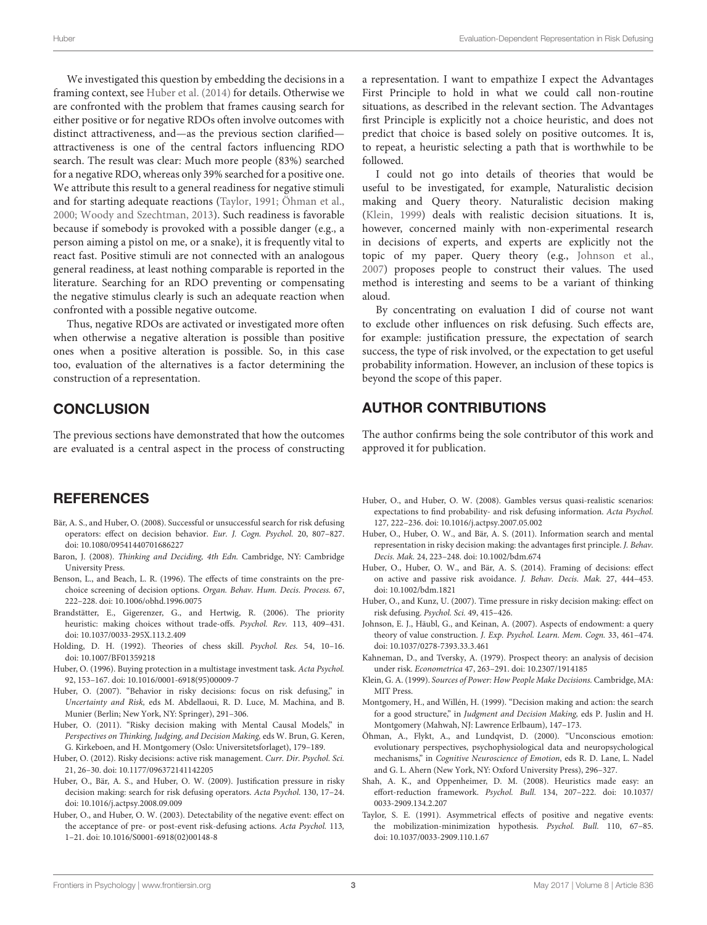We investigated this question by embedding the decisions in a framing context, see [Huber et al. \(2014\)](#page-2-17) for details. Otherwise we are confronted with the problem that frames causing search for either positive or for negative RDOs often involve outcomes with distinct attractiveness, and—as the previous section clarified attractiveness is one of the central factors influencing RDO search. The result was clear: Much more people (83%) searched for a negative RDO, whereas only 39% searched for a positive one. We attribute this result to a general readiness for negative stimuli and for starting adequate reactions [\(Taylor, 1991;](#page-2-18) [Öhman et al.,](#page-2-19) [2000;](#page-2-19) [Woody and Szechtman, 2013\)](#page-3-3). Such readiness is favorable because if somebody is provoked with a possible danger (e.g., a person aiming a pistol on me, or a snake), it is frequently vital to react fast. Positive stimuli are not connected with an analogous general readiness, at least nothing comparable is reported in the literature. Searching for an RDO preventing or compensating the negative stimulus clearly is such an adequate reaction when confronted with a possible negative outcome.

Thus, negative RDOs are activated or investigated more often when otherwise a negative alteration is possible than positive ones when a positive alteration is possible. So, in this case too, evaluation of the alternatives is a factor determining the construction of a representation.

## **CONCLUSION**

The previous sections have demonstrated that how the outcomes are evaluated is a central aspect in the process of constructing

## **REFERENCES**

- <span id="page-2-4"></span>Bär, A. S., and Huber, O. (2008). Successful or unsuccessful search for risk defusing operators: effect on decision behavior. Eur. J. Cogn. Psychol. 20, 807–827. doi: [10.1080/09541440701686227](https://doi.org/10.1080/09541440701686227)
- <span id="page-2-1"></span>Baron, J. (2008). Thinking and Deciding, 4th Edn. Cambridge, NY: Cambridge University Press.
- <span id="page-2-15"></span>Benson, L., and Beach, L. R. (1996). The effects of time constraints on the prechoice screening of decision options. Organ. Behav. Hum. Decis. Process. 67, 222–228. doi: [10.1006/obhd.1996.0075](https://doi.org/10.1006/obhd.1996.0075)
- <span id="page-2-16"></span>Brandstätter, E., Gigerenzer, G., and Hertwig, R. (2006). The priority heuristic: making choices without trade-offs. Psychol. Rev. 113, 409–431. doi: [10.1037/0033-295X.113.2.409](https://doi.org/10.1037/0033-295X.113.2.409)
- <span id="page-2-13"></span>Holding, D. H. (1992). Theories of chess skill. Psychol. Res. 54, 10–16. doi: [10.1007/BF01359218](https://doi.org/10.1007/BF01359218)
- <span id="page-2-10"></span>Huber, O. (1996). Buying protection in a multistage investment task. Acta Psychol. 92, 153–167. doi: [10.1016/0001-6918\(95\)00009-7](https://doi.org/10.1016/0001-6918(95)00009-7)
- <span id="page-2-5"></span>Huber, O. (2007). "Behavior in risky decisions: focus on risk defusing," in Uncertainty and Risk, eds M. Abdellaoui, R. D. Luce, M. Machina, and B. Munier (Berlin; New York, NY: Springer), 291–306.
- <span id="page-2-11"></span>Huber, O. (2011). "Risky decision making with Mental Causal Models," in Perspectives on Thinking, Judging, and Decision Making, eds W. Brun, G. Keren, G. Kirkeboen, and H. Montgomery (Oslo: Universitetsforlaget), 179–189.
- <span id="page-2-3"></span>Huber, O. (2012). Risky decisions: active risk management. Curr. Dir. Psychol. Sci. 21, 26–30. doi: [10.1177/096372141142205](https://doi.org/10.1177/096372141142205)
- <span id="page-2-8"></span>Huber, O., Bär, A. S., and Huber, O. W. (2009). Justification pressure in risky decision making: search for risk defusing operators. Acta Psychol. 130, 17–24. doi: [10.1016/j.actpsy.2008.09.009](https://doi.org/10.1016/j.actpsy.2008.09.009)
- <span id="page-2-9"></span>Huber, O., and Huber, O. W. (2003). Detectability of the negative event: effect on the acceptance of pre- or post-event risk-defusing actions. Acta Psychol. 113, 1–21. doi: [10.1016/S0001-6918\(02\)00148-8](https://doi.org/10.1016/S0001-6918(02)00148-8)

a representation. I want to empathize I expect the Advantages First Principle to hold in what we could call non-routine situations, as described in the relevant section. The Advantages first Principle is explicitly not a choice heuristic, and does not predict that choice is based solely on positive outcomes. It is, to repeat, a heuristic selecting a path that is worthwhile to be followed.

I could not go into details of theories that would be useful to be investigated, for example, Naturalistic decision making and Query theory. Naturalistic decision making [\(Klein, 1999\)](#page-2-20) deals with realistic decision situations. It is, however, concerned mainly with non-experimental research in decisions of experts, and experts are explicitly not the topic of my paper. Query theory (e.g., [Johnson et al.,](#page-2-21) [2007\)](#page-2-21) proposes people to construct their values. The used method is interesting and seems to be a variant of thinking aloud.

By concentrating on evaluation I did of course not want to exclude other influences on risk defusing. Such effects are, for example: justification pressure, the expectation of search success, the type of risk involved, or the expectation to get useful probability information. However, an inclusion of these topics is beyond the scope of this paper.

## AUTHOR CONTRIBUTIONS

The author confirms being the sole contributor of this work and approved it for publication.

- <span id="page-2-6"></span>Huber, O., and Huber, O. W. (2008). Gambles versus quasi-realistic scenarios: expectations to find probability- and risk defusing information. Acta Psychol. 127, 222–236. doi: [10.1016/j.actpsy.2007.05.002](https://doi.org/10.1016/j.actpsy.2007.05.002)
- <span id="page-2-12"></span>Huber, O., Huber, O. W., and Bär, A. S. (2011). Information search and mental representation in risky decision making: the advantages first principle. J. Behav. Decis. Mak. 24, 223–248. doi: [10.1002/bdm.674](https://doi.org/10.1002/bdm.674)
- <span id="page-2-17"></span>Huber, O., Huber, O. W., and Bär, A. S. (2014). Framing of decisions: effect on active and passive risk avoidance. J. Behav. Decis. Mak. 27, 444–453. doi: [10.1002/bdm.1821](https://doi.org/10.1002/bdm.1821)
- <span id="page-2-7"></span>Huber, O., and Kunz, U. (2007). Time pressure in risky decision making: effect on risk defusing. Psychol. Sci. 49, 415–426.
- <span id="page-2-21"></span>Johnson, E. J., Häubl, G., and Keinan, A. (2007). Aspects of endowment: a query theory of value construction. J. Exp. Psychol. Learn. Mem. Cogn. 33, 461–474. doi: [10.1037/0278-7393.33.3.461](https://doi.org/10.1037/0278-7393.33.3.461)
- <span id="page-2-0"></span>Kahneman, D., and Tversky, A. (1979). Prospect theory: an analysis of decision under risk. Econometrica 47, 263–291. doi: [10.2307/1914185](https://doi.org/10.2307/1914185)
- <span id="page-2-20"></span>Klein, G. A. (1999). Sources of Power: How People Make Decisions. Cambridge, MA: MIT Press.
- <span id="page-2-14"></span>Montgomery, H., and Willén, H. (1999). "Decision making and action: the search for a good structure," in Judgment and Decision Making, eds P. Juslin and H. Montgomery (Mahwah, NJ: Lawrence Erlbaum), 147–173.
- <span id="page-2-19"></span>Öhman, A., Flykt, A., and Lundqvist, D. (2000). "Unconscious emotion: evolutionary perspectives, psychophysiological data and neuropsychological mechanisms," in Cognitive Neuroscience of Emotion, eds R. D. Lane, L. Nadel and G. L. Ahern (New York, NY: Oxford University Press), 296–327.
- <span id="page-2-2"></span>Shah, A. K., and Oppenheimer, D. M. (2008). Heuristics made easy: an effort-reduction framework. Psychol. Bull. [134, 207–222. doi: 10.1037/](https://doi.org/10.1037/0033-2909.134.2.207) 0033-2909.134.2.207
- <span id="page-2-18"></span>Taylor, S. E. (1991). Asymmetrical effects of positive and negative events: the mobilization-minimization hypothesis. Psychol. Bull. 110, 67–85. doi: [10.1037/0033-2909.110.1.67](https://doi.org/10.1037/0033-2909.110.1.67)